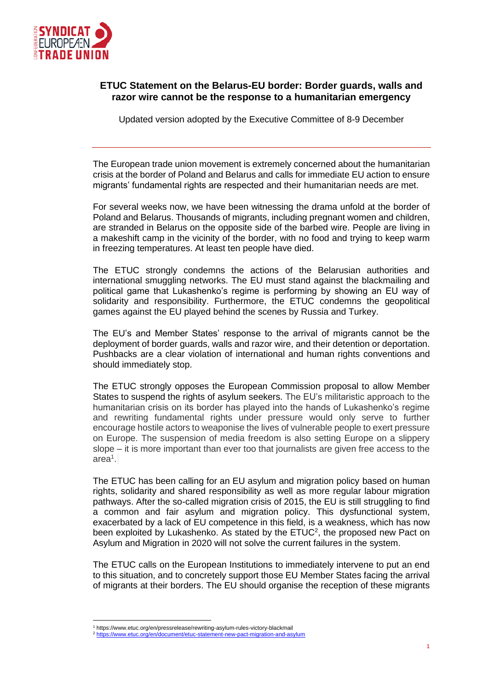

## **ETUC Statement on the Belarus-EU border: Border guards, walls and razor wire cannot be the response to a humanitarian emergency**

Updated version adopted by the Executive Committee of 8-9 December

The European trade union movement is extremely concerned about the humanitarian crisis at the border of Poland and Belarus and calls for immediate EU action to ensure migrants' fundamental rights are respected and their humanitarian needs are met.

For several weeks now, we have been witnessing the drama unfold at the border of Poland and Belarus. Thousands of migrants, including pregnant women and children, are stranded in Belarus on the opposite side of the barbed wire. People are living in a makeshift camp in the vicinity of the border, with no food and trying to keep warm in freezing temperatures. At least ten people have died.

The ETUC strongly condemns the actions of the Belarusian authorities and international smuggling networks. The EU must stand against the blackmailing and political game that Lukashenko's regime is performing by showing an EU way of solidarity and responsibility. Furthermore, the ETUC condemns the geopolitical games against the EU played behind the scenes by Russia and Turkey.

The EU's and Member States' response to the arrival of migrants cannot be the deployment of border guards, walls and razor wire, and their detention or deportation. Pushbacks are a clear violation of international and human rights conventions and should immediately stop.

The ETUC strongly opposes the European Commission proposal to allow Member States to suspend the rights of asylum seekers. The EU's militaristic approach to the humanitarian crisis on its border has played into the hands of Lukashenko's regime and rewriting fundamental rights under pressure would only serve to further encourage hostile actors to weaponise the lives of vulnerable people to exert pressure on Europe. The suspension of media freedom is also setting Europe on a slippery slope – it is more important than ever too that journalists are given free access to the area<sup>1</sup> .

The ETUC has been calling for an EU asylum and migration policy based on human rights, solidarity and shared responsibility as well as more regular labour migration pathways. After the so-called migration crisis of 2015, the EU is still struggling to find a common and fair asylum and migration policy. This dysfunctional system, exacerbated by a lack of EU competence in this field, is a weakness, which has now been exploited by Lukashenko. As stated by the  $ETUC<sup>2</sup>$ , the proposed new Pact on Asylum and Migration in 2020 will not solve the current failures in the system.

The ETUC calls on the European Institutions to immediately intervene to put an end to this situation, and to concretely support those EU Member States facing the arrival of migrants at their borders. The EU should organise the reception of these migrants

<sup>1</sup> https://www.etuc.org/en/pressrelease/rewriting-asylum-rules-victory-blackmail

ent/etuc-statement-new-pact-migration-and-asylum